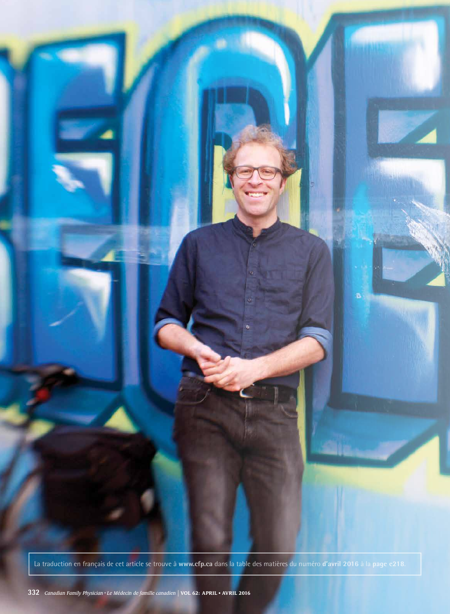

La traduction en français de cet article se trouve à **www.cfp.ca** dans la table des matières du numéro **d'avril 2016** à la **page e218**.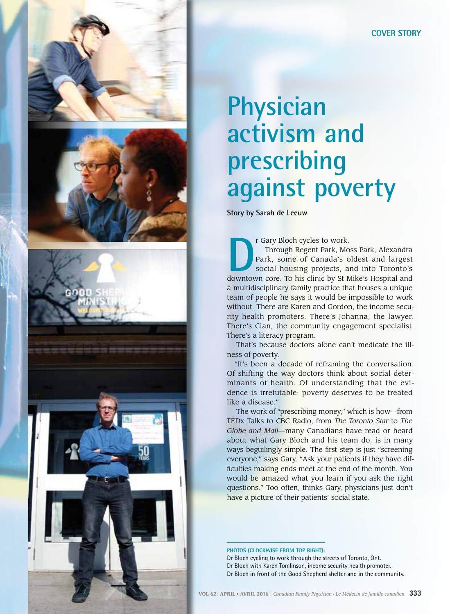





## **Physician activism and prescribing against poverty**

**Story by Sarah de Leeuw**

**DEREVIE CARRY Bloch cycles to work.**<br>Through Regent Park, Mos<br>Park, some of Canada's official housing projects, and<br>downtown core. To his clinic by St M Through Regent Park, Moss Park, Alexandra Park, some of Canada's oldest and largest social housing projects, and into Toronto's downtown core. To his clinic by St Mike's Hospital and a multidisciplinary family practice that houses a unique team of people he says it would be impossible to work without. There are Karen and Gordon, the income security health promoters. There's Johanna, the lawyer. There's Cian, the community engagement specialist. There's a literacy program.

That's because doctors alone can't medicate the illness of poverty.

"It's been a decade of reframing the conversation. Of shifting the way doctors think about social determinants of health. Of understanding that the evidence is irrefutable: poverty deserves to be treated like a disease."

The work of "prescribing money," which is how—from TEDx Talks to CBC Radio, from *The Toronto Star* to *The Globe and Mail*—many Canadians have read or heard about what Gary Bloch and his team do, is in many ways beguilingly simple. The first step is just "screening everyone," says Gary. "Ask your patients if they have difficulties making ends meet at the end of the month. You would be amazed what you learn if you ask the right questions." Too often, thinks Gary, physicians just don't have a picture of their patients' social state.

**Photos (clockwise from top right):**

Dr Bloch cycling to work through the streets of Toronto, Ont.

Dr Bloch with Karen Tomlinson, income security health promoter.

Dr Bloch in front of the Good Shepherd shelter and in the community.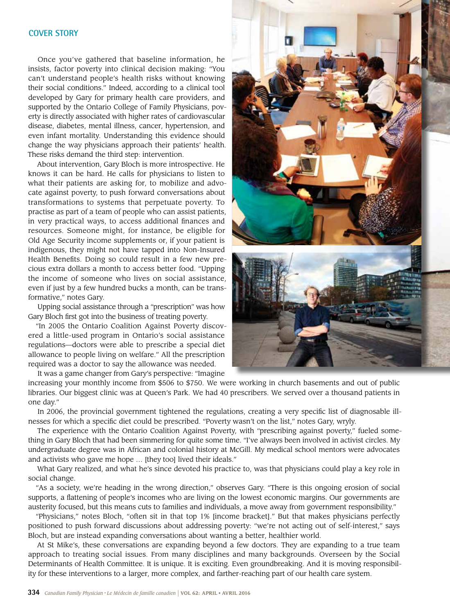## **COVER STORY**

Once you've gathered that baseline information, he insists, factor poverty into clinical decision making: "You can't understand people's health risks without knowing their social conditions." Indeed, according to a clinical tool developed by Gary for primary health care providers, and supported by the Ontario College of Family Physicians, poverty is directly associated with higher rates of cardiovascular disease, diabetes, mental illness, cancer, hypertension, and even infant mortality. Understanding this evidence should change the way physicians approach their patients' health. These risks demand the third step: intervention.

About intervention, Gary Bloch is more introspective. He knows it can be hard. He calls for physicians to listen to what their patients are asking for, to mobilize and advocate against poverty, to push forward conversations about transformations to systems that perpetuate poverty. To practise as part of a team of people who can assist patients, in very practical ways, to access additional finances and resources. Someone might, for instance, be eligible for Old Age Security income supplements or, if your patient is indigenous, they might not have tapped into Non-Insured Health Benefits. Doing so could result in a few new precious extra dollars a month to access better food. "Upping the income of someone who lives on social assistance, even if just by a few hundred bucks a month, can be transformative," notes Gary.

Upping social assistance through a "prescription" was how Gary Bloch first got into the business of treating poverty.

"In 2005 the Ontario Coalition Against Poverty discovered a little-used program in Ontario's social assistance regulations—doctors were able to prescribe a special diet allowance to people living on welfare." All the prescription required was a doctor to say the allowance was needed.

It was a game changer from Gary's perspective: "Imagine increasing your monthly income from \$506 to \$750. We were working in church basements and out of public libraries. Our biggest clinic was at Queen's Park. We had 40 prescribers. We served over a thousand patients in one day."

In 2006, the provincial government tightened the regulations, creating a very specific list of diagnosable illnesses for which a specific diet could be prescribed. "Poverty wasn't on the list," notes Gary, wryly.

The experience with the Ontario Coalition Against Poverty, with "prescribing against poverty," fueled something in Gary Bloch that had been simmering for quite some time. "I've always been involved in activist circles. My undergraduate degree was in African and colonial history at McGill. My medical school mentors were advocates and activists who gave me hope … [they too] lived their ideals."

What Gary realized, and what he's since devoted his practice to, was that physicians could play a key role in social change.

"As a society, we're heading in the wrong direction," observes Gary. "There is this ongoing erosion of social supports, a flattening of people's incomes who are living on the lowest economic margins. Our governments are austerity focused, but this means cuts to families and individuals, a move away from government responsibility."

"Physicians," notes Bloch, "often sit in that top 1% [income bracket]." But that makes physicians perfectly positioned to push forward discussions about addressing poverty: "we're not acting out of self-interest," says Bloch, but are instead expanding conversations about wanting a better, healthier world.

At St Mike's, these conversations are expanding beyond a few doctors. They are expanding to a true team approach to treating social issues. From many disciplines and many backgrounds. Overseen by the Social Determinants of Health Committee. It is unique. It is exciting. Even groundbreaking. And it is moving responsibility for these interventions to a larger, more complex, and farther-reaching part of our health care system.